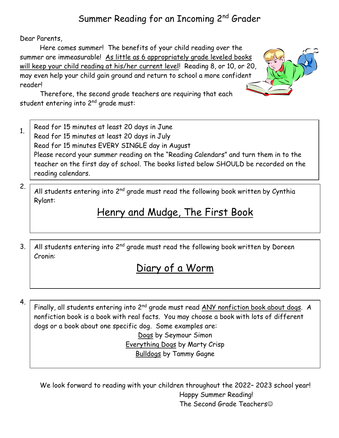### Summer Reading for an Incoming 2nd Grader

Dear Parents,

Here comes summer! The benefits of your child reading over the summer are immeasurable! As little as 6 appropriately grade leveled books will keep your child reading at his/her current level! Reading 8, or 10, or 20, may even help your child gain ground and return to school a more confident reader!



Therefore, the second grade teachers are requiring that each student entering into  $2^{nd}$  grade must:

Read for 15 minutes at least 20 days in June Read for 15 minutes at least 20 days in July Read for 15 minutes EVERY SINGLE day in August Please record your summer reading on the "Reading Calendars" and turn them in to the teacher on the first day of school. The books listed below SHOULD be recorded on the reading calendars. 1.

All students entering into  $2<sup>nd</sup>$  grade must read the following book written by Cynthia Rylant:

## Henry and Mudge, The First Book

3. All students entering into  $2<sup>nd</sup>$  grade must read the following book written by Doreen Cronin:

## Diary of a Worm

4.

2.

Finally, all students entering into 2<sup>nd</sup> grade must read ANY nonfiction book about dogs. A nonfiction book is a book with real facts. You may choose a book with lots of different dogs or a book about one specific dog. Some examples are:

Dogs by Seymour Simon Everything Dogs by Marty Crisp Bulldogs by Tammy Gagne

We look forward to reading with your children throughout the 2022– 2023 school year! Happy Summer Reading! The Second Grade Teachers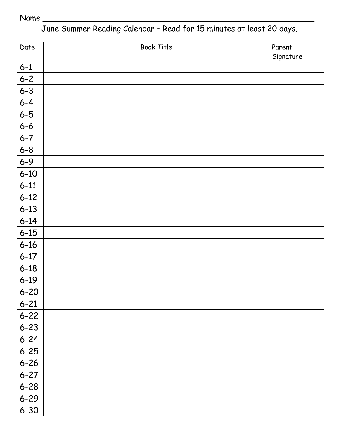#### Name \_\_\_\_\_\_\_\_\_\_\_\_\_\_\_\_\_\_\_\_\_\_\_\_\_\_\_\_\_\_\_\_\_\_\_\_\_\_\_\_\_\_\_\_\_\_\_\_\_\_\_\_\_\_\_\_

June Summer Reading Calendar – Read for 15 minutes at least 20 days.

| Date     | <b>Book Title</b> | Parent    |
|----------|-------------------|-----------|
|          |                   | Signature |
| $6 - 1$  |                   |           |
| $6 - 2$  |                   |           |
| $6 - 3$  |                   |           |
| $6 - 4$  |                   |           |
| $6 - 5$  |                   |           |
| $6 - 6$  |                   |           |
| $6 - 7$  |                   |           |
| $6 - 8$  |                   |           |
| $6 - 9$  |                   |           |
| $6 - 10$ |                   |           |
| $6 - 11$ |                   |           |
| $6 - 12$ |                   |           |
| $6 - 13$ |                   |           |
| $6 - 14$ |                   |           |
| $6 - 15$ |                   |           |
| $6 - 16$ |                   |           |
| $6 - 17$ |                   |           |
| $6 - 18$ |                   |           |
| $6 - 19$ |                   |           |
| $6 - 20$ |                   |           |
| $6 - 21$ |                   |           |
| $6 - 22$ |                   |           |
| $6 - 23$ |                   |           |
| $6 - 24$ |                   |           |
| $6 - 25$ |                   |           |
| $6 - 26$ |                   |           |
| $6 - 27$ |                   |           |
| $6 - 28$ |                   |           |
| $6 - 29$ |                   |           |
| $6 - 30$ |                   |           |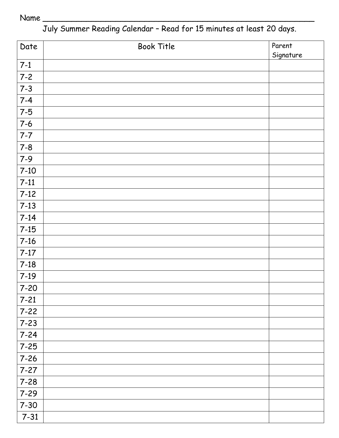#### Name \_\_\_\_\_\_\_\_\_\_\_\_\_\_\_\_\_\_\_\_\_\_\_\_\_\_\_\_\_\_\_\_\_\_\_\_\_\_\_\_\_\_\_\_\_\_\_\_\_\_\_\_\_\_\_\_

July Summer Reading Calendar – Read for 15 minutes at least 20 days.

| Date     | <b>Book Title</b> | Parent    |
|----------|-------------------|-----------|
|          |                   | Signature |
| $7-1$    |                   |           |
| $7 - 2$  |                   |           |
| $7 - 3$  |                   |           |
| $7 - 4$  |                   |           |
| $7-5$    |                   |           |
| $7-6$    |                   |           |
| $7 - 7$  |                   |           |
| $7 - 8$  |                   |           |
| $7 - 9$  |                   |           |
| $7-10$   |                   |           |
| $7-11$   |                   |           |
| $7-12$   |                   |           |
| $7-13$   |                   |           |
| $7-14$   |                   |           |
| $7-15$   |                   |           |
| $7 - 16$ |                   |           |
| $7-17$   |                   |           |
| $7-18$   |                   |           |
| $7-19$   |                   |           |
| $7 - 20$ |                   |           |
| $7 - 21$ |                   |           |
| $7 - 22$ |                   |           |
| $7 - 23$ |                   |           |
| $7 - 24$ |                   |           |
| $7 - 25$ |                   |           |
| $7 - 26$ |                   |           |
| $7 - 27$ |                   |           |
| $7 - 28$ |                   |           |
| $7 - 29$ |                   |           |
| $7 - 30$ |                   |           |
| $7 - 31$ |                   |           |